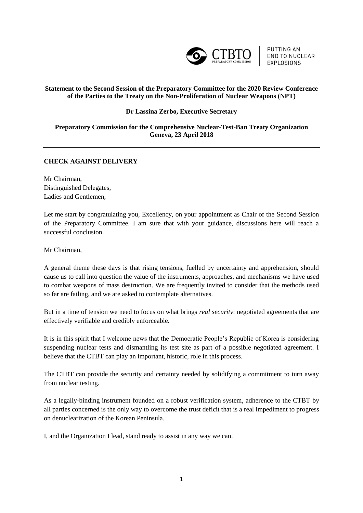

**PUTTING AN END TO NUCLEAR** EXPLOSIONS

## **Statement to the Second Session of the Preparatory Committee for the 2020 Review Conference of the Parties to the Treaty on the Non-Proliferation of Nuclear Weapons (NPT)**

## **Dr Lassina Zerbo, Executive Secretary**

## **Preparatory Commission for the Comprehensive Nuclear-Test-Ban Treaty Organization Geneva, 23 April 2018**

## **CHECK AGAINST DELIVERY**

Mr Chairman, Distinguished Delegates, Ladies and Gentlemen,

Let me start by congratulating you, Excellency, on your appointment as Chair of the Second Session of the Preparatory Committee. I am sure that with your guidance, discussions here will reach a successful conclusion.

Mr Chairman,

A general theme these days is that rising tensions, fuelled by uncertainty and apprehension, should cause us to call into question the value of the instruments, approaches, and mechanisms we have used to combat weapons of mass destruction. We are frequently invited to consider that the methods used so far are failing, and we are asked to contemplate alternatives.

But in a time of tension we need to focus on what brings *real security*: negotiated agreements that are effectively verifiable and credibly enforceable.

It is in this spirit that I welcome news that the Democratic People's Republic of Korea is considering suspending nuclear tests and dismantling its test site as part of a possible negotiated agreement. I believe that the CTBT can play an important, historic, role in this process.

The CTBT can provide the security and certainty needed by solidifying a commitment to turn away from nuclear testing.

As a legally-binding instrument founded on a robust verification system, adherence to the CTBT by all parties concerned is the only way to overcome the trust deficit that is a real impediment to progress on denuclearization of the Korean Peninsula.

I, and the Organization I lead, stand ready to assist in any way we can.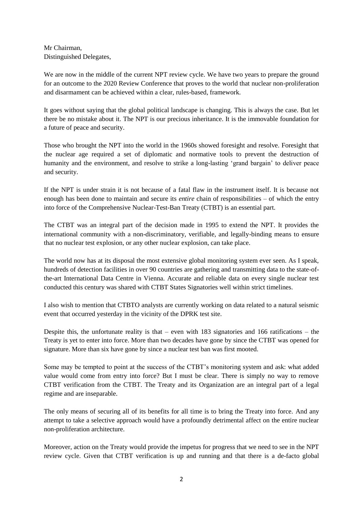Mr Chairman, Distinguished Delegates,

We are now in the middle of the current NPT review cycle. We have two years to prepare the ground for an outcome to the 2020 Review Conference that proves to the world that nuclear non-proliferation and disarmament can be achieved within a clear, rules-based, framework.

It goes without saying that the global political landscape is changing. This is always the case. But let there be no mistake about it. The NPT is our precious inheritance. It is the immovable foundation for a future of peace and security.

Those who brought the NPT into the world in the 1960s showed foresight and resolve. Foresight that the nuclear age required a set of diplomatic and normative tools to prevent the destruction of humanity and the environment, and resolve to strike a long-lasting 'grand bargain' to deliver peace and security.

If the NPT is under strain it is not because of a fatal flaw in the instrument itself. It is because not enough has been done to maintain and secure its *entire* chain of responsibilities – of which the entry into force of the Comprehensive Nuclear-Test-Ban Treaty (CTBT) is an essential part.

The CTBT was an integral part of the decision made in 1995 to extend the NPT. It provides the international community with a non-discriminatory, verifiable, and legally-binding means to ensure that no nuclear test explosion, or any other nuclear explosion, can take place.

The world now has at its disposal the most extensive global monitoring system ever seen. As I speak, hundreds of detection facilities in over 90 countries are gathering and transmitting data to the state-ofthe-art International Data Centre in Vienna. Accurate and reliable data on every single nuclear test conducted this century was shared with CTBT States Signatories well within strict timelines.

I also wish to mention that CTBTO analysts are currently working on data related to a natural seismic event that occurred yesterday in the vicinity of the DPRK test site.

Despite this, the unfortunate reality is that – even with  $183$  signatories and  $166$  ratifications – the Treaty is yet to enter into force. More than two decades have gone by since the CTBT was opened for signature. More than six have gone by since a nuclear test ban was first mooted.

Some may be tempted to point at the success of the CTBT's monitoring system and ask: what added value would come from entry into force? But I must be clear. There is simply no way to remove CTBT verification from the CTBT. The Treaty and its Organization are an integral part of a legal regime and are inseparable.

The only means of securing all of its benefits for all time is to bring the Treaty into force. And any attempt to take a selective approach would have a profoundly detrimental affect on the entire nuclear non-proliferation architecture.

Moreover, action on the Treaty would provide the impetus for progress that we need to see in the NPT review cycle. Given that CTBT verification is up and running and that there is a de-facto global